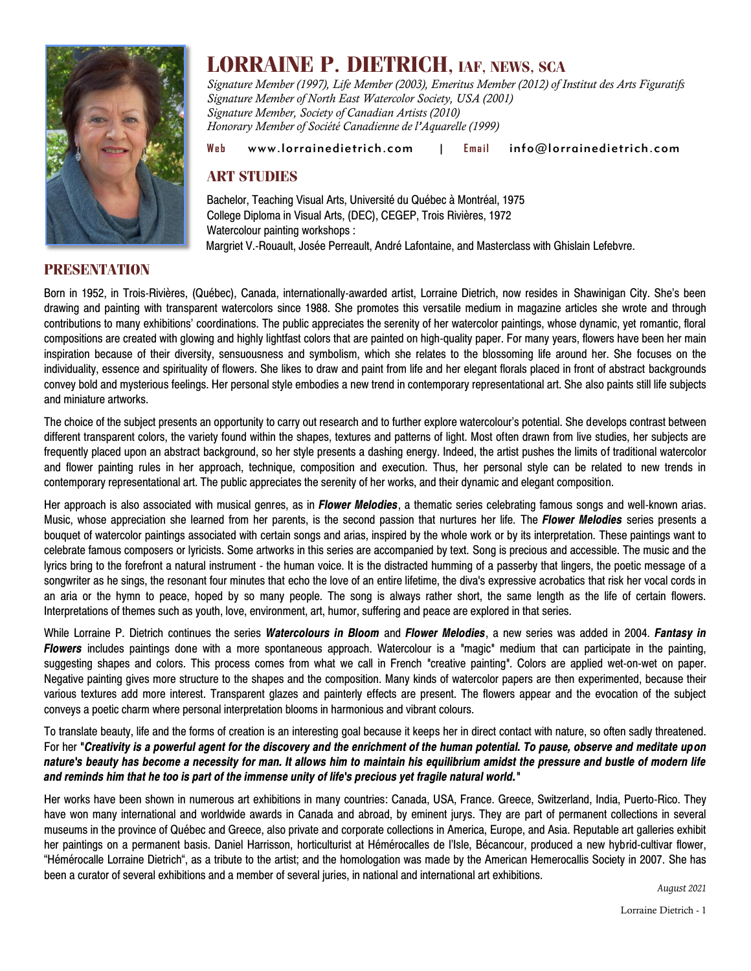

# **LORRAINE P. DIETRICH, IAF, NEWS, SCA**

*Signature Member (1997), Life Member (2003), Emeritus Member (2012) of Institut des Arts Figuratifs Signature Member of North East Watercolor Society, USA (2001) Signature Member, Society of Canadian Artists (2010) Honorary Member of Société Canadienne de l'Aquarelle (1999)*

#### Web [www.lorrainedietrich.com](http://www.lorrainedietrich.com/) | Email [info@lorrainedietrich.com](mailto:info@lorrainedietrich.com)

## **ART STUDIES**

Bachelor, Teaching Visual Arts, Université du Québec à Montréal, 1975 College Diploma in Visual Arts, (DEC), CEGEP, Trois Rivières, 1972 Watercolour painting workshops : Margriet V.-Rouault, Josée Perreault, André Lafontaine, and Masterclass with Ghislain Lefebvre.

#### **PRESENTATION**

Born in 1952, in Trois-Rivières, (Québec), Canada, internationally-awarded artist, Lorraine Dietrich, now resides in Shawinigan City. She's been drawing and painting with transparent watercolors since 1988. She promotes this versatile medium in magazine articles she wrote and through contributions to many exhibitions' coordinations. The public appreciates the serenity of her watercolor paintings, whose dynamic, yet romantic, floral compositions are created with glowing and highly lightfast colors that are painted on high-quality paper. For many years, flowers have been her main inspiration because of their diversity, sensuousness and symbolism, which she relates to the blossoming life around her. She focuses on the individuality, essence and spirituality of flowers. She likes to draw and paint from life and her elegant florals placed in front of abstract backgrounds convey bold and mysterious feelings. Her personal style embodies a new trend in contemporary representational art. She also paints still life subjects and miniature artworks.

The choice of the subject presents an opportunity to carry out research and to further explore watercolour's potential. She develops contrast between different transparent colors, the variety found within the shapes, textures and patterns of light. Most often drawn from live studies, her subjects are frequently placed upon an abstract background, so her style presents a dashing energy. Indeed, the artist pushes the limits of traditional watercolor and flower painting rules in her approach, technique, composition and execution. Thus, her personal style can be related to new trends in contemporary representational art. The public appreciates the serenity of her works, and their dynamic and elegant composition.

Her approach is also associated with musical genres, as in *Flower Melodies*, a thematic series celebrating famous songs and well-known arias. Music, whose appreciation she learned from her parents, is the second passion that nurtures her life*.* The *Flower Melodies* series presents a bouquet of watercolor paintings associated with certain songs and arias, inspired by the whole work or by its interpretation. These paintings want to celebrate famous composers or lyricists. Some artworks in this series are accompanied by text. Song is precious and accessible. The music and the lyrics bring to the forefront a natural instrument - the human voice. It is the distracted humming of a passerby that lingers, the poetic message of a songwriter as he sings, the resonant four minutes that echo the love of an entire lifetime, the diva's expressive acrobatics that risk her vocal cords in an aria or the hymn to peace, hoped by so many people. The song is always rather short, the same length as the life of certain flowers. Interpretations of themes such as youth, love, environment, art, humor, suffering and peace are explored in that series.

While Lorraine P. Dietrich continues the series *Watercolours in Bloom* and *Flower Melodies*, a new series was added in 2004. *Fantasy in Flowers* includes paintings done with a more spontaneous approach. Watercolour is a *"*magic*"* medium that can participate in the painting, suggesting shapes and colors. This process comes from what we call in French *"*creative painting*"*. Colors are applied wet-on-wet on paper. Negative painting gives more structure to the shapes and the composition. Many kinds of watercolor papers are then experimented, because their various textures add more interest. Transparent glazes and painterly effects are present. The flowers appear and the evocation of the subject conveys a poetic charm where personal interpretation blooms in harmonious and vibrant colours.

To translate beauty, life and the forms of creation is an interesting goal because it keeps her in direct contact with nature, so often sadly threatened. For her **"***Creativity is a powerful agent for the discovery and the enrichment of the human potential. To pause, observe and meditate upon nature's beauty has become a necessity for man. It allows him to maintain his equilibrium amidst the pressure and bustle of modern life and reminds him that he too is part of the immense unity of life's precious yet fragile natural world."*

Her works have been shown in numerous art exhibitions in many countries: Canada, USA, France. Greece, Switzerland, India, Puerto-Rico. They have won many international and worldwide awards in Canada and abroad, by eminent jurys. They are part of permanent collections in several museums in the province of Québec and Greece, also private and corporate collections in America, Europe, and Asia. Reputable art galleries exhibit her paintings on a permanent basis. Daniel Harrisson, horticulturist at Hémérocalles de l'Isle, Bécancour, produced a new hybrid-cultivar flower, "Hémérocalle Lorraine Dietrich", as a tribute to the artist; and the homologation was made by the American Hemerocallis Society in 2007. She has been a curator of several exhibitions and a member of several juries, in national and international art exhibitions.

*August 2021*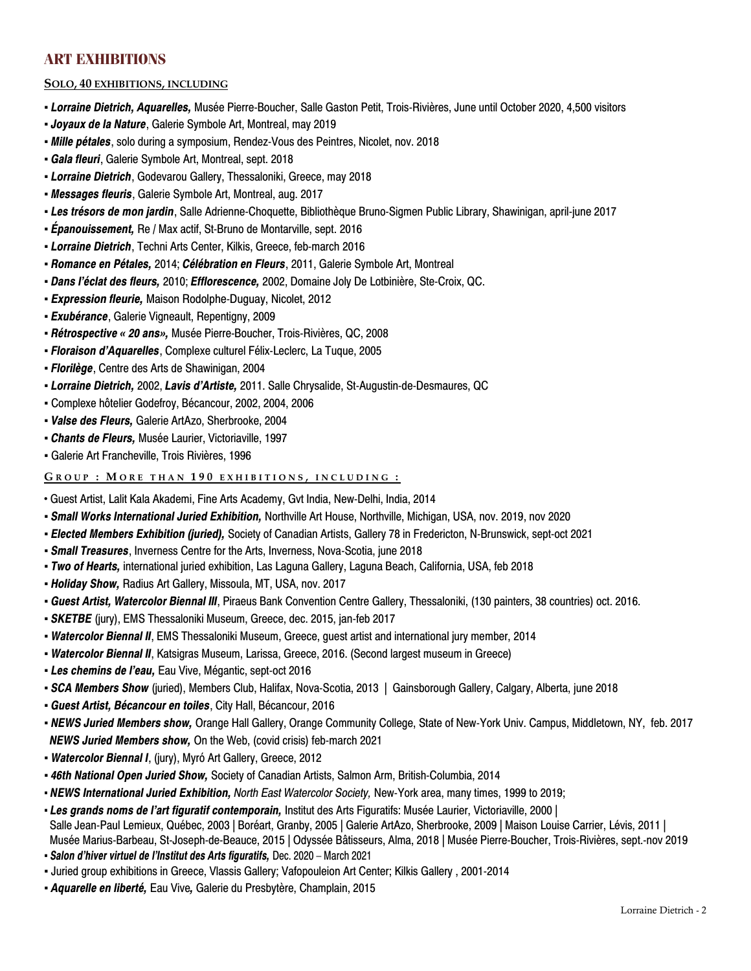## **ART EXHIBITIONS**

#### **SOLO, 40 EXHIBITIONS, INCLUDING**

- *Lorraine Dietrich, Aquarelles,* Musée Pierre-Boucher, Salle Gaston Petit, Trois-Rivières, June until October 2020, 4,500 visitors
- *Joyaux de la Nature*, Galerie Symbole Art, Montreal, may 2019
- *Mille pétales*, solo during a symposium, Rendez-Vous des Peintres, Nicolet, nov. 2018
- *Gala fleuri*, Galerie Symbole Art, Montreal, sept. 2018
- *Lorraine Dietrich*, Godevarou Gallery, Thessaloniki, Greece, may 2018
- *Messages fleuris*, Galerie Symbole Art, Montreal, aug. 2017
- *Les trésors de mon jardin*, Salle Adrienne-Choquette, Bibliothèque Bruno-Sigmen Public Library, Shawinigan, april-june 2017
- *Épanouissement,* Re / Max actif, St-Bruno de Montarville, sept. 2016
- *Lorraine Dietrich*, Techni Arts Center, Kilkis, Greece, feb-march 2016
- *Romance en Pétales,* 2014; *Célébration en Fleurs*, 2011, Galerie Symbole Art, Montreal
- *Dans l'éclat des fleurs,* 2010; *Efflorescence,* 2002, Domaine Joly De Lotbinière, Ste-Croix, QC.
- *Expression fleurie,* Maison Rodolphe-Duguay, Nicolet, 2012
- *Exubérance*, Galerie Vigneault, Repentigny, 2009
- *Rétrospective « 20 ans»,* Musée Pierre-Boucher, Trois-Rivières, QC, 2008
- *Floraison d'Aquarelles*, Complexe culturel Félix-Leclerc, La Tuque, 2005
- *Florilège*, Centre des Arts de Shawinigan, 2004
- *Lorraine Dietrich,* 2002, *Lavis d'Artiste,* 2011. Salle Chrysalide, St-Augustin-de-Desmaures, QC
- Complexe hôtelier Godefroy, Bécancour, 2002, 2004, 2006
- *Valse des Fleurs,* Galerie ArtAzo, Sherbrooke, 2004
- *Chants de Fleurs,* Musée Laurier, Victoriaville, 1997
- Galerie Art Francheville, Trois Rivières, 1996

#### **G R O U P : M O R E T H A N 1 9 0 E X H I B I T I O N S , I N C L U D I N G :**

- Guest Artist, Lalit Kala Akademi, Fine Arts Academy, Gvt India, New-Delhi, India, 2014
- *Small Works International Juried Exhibition,* Northville Art House, Northville, Michigan, USA, nov. 2019, nov 2020
- *Elected Members Exhibition (juried),* Society of Canadian Artists, Gallery 78 in Fredericton, N-Brunswick, sept-oct 2021
- *Small Treasures*, Inverness Centre for the Arts, Inverness, Nova-Scotia, june 2018
- *Two of Hearts,* international juried exhibition, Las Laguna Gallery, Laguna Beach, California, USA, feb 2018
- *Holiday Show,* Radius Art Gallery, Missoula, MT, USA, nov. 2017
- *Guest Artist, Watercolor Biennal III*, Piraeus Bank Convention Centre Gallery, Thessaloniki, (130 painters, 38 countries) oct. 2016.
- *SKETBE* (jury), EMS Thessaloniki Museum, Greece, dec. 2015, jan-feb 2017
- *Watercolor Biennal II*, EMS Thessaloniki Museum, Greece, guest artist and international jury member, 2014
- *Watercolor Biennal II*, Katsigras Museum, Larissa, Greece, 2016. (Second largest museum in Greece)
- *▪ Les chemins de l'eau,* Eau Vive, Mégantic, sept-oct 2016
- *SCA Members Show* (juried), Members Club, Halifax, Nova-Scotia, 2013 | Gainsborough Gallery, Calgary, Alberta, june 2018
- *▪ Guest Artist, Bécancour en toiles*, City Hall, Bécancour, 2016
- *NEWS Juried Members show,* Orange Hall Gallery, Orange Community College, State of New-York Univ. Campus, Middletown, NY, feb. 2017 *NEWS Juried Members show,* On the Web, (covid crisis) feb-march 2021
- *▪ Watercolor Biennal I*, (jury), Myró Art Gallery, Greece, 2012
- *▪ 46th National Open Juried Show,* Society of Canadian Artists, Salmon Arm, British-Columbia, 2014
- *NEWS International Juried Exhibition, North East Watercolor Society,* New-York area, many times, 1999 to 2019;
- *Les grands noms de l'art figuratif contemporain,* Institut des Arts Figuratifs: Musée Laurier, Victoriaville, 2000 | Salle Jean-Paul Lemieux, Québec, 2003 | Boréart, Granby, 2005 | Galerie ArtAzo, Sherbrooke, 2009 | Maison Louise Carrier, Lévis, 2011 | Musée Marius-Barbeau, St-Joseph-de-Beauce, 2015 | Odyssée Bâtisseurs, Alma, 2018 | Musée Pierre-Boucher, Trois-Rivières, sept.-nov 2019
- *Salon d'hiver virtuel de l'Institut des Arts figuratifs,* Dec. 2020 March 2021
- Juried group exhibitions in Greece, Vlassis Gallery; Vafopouleion Art Center; Kilkis Gallery , 2001-2014
- *Aquarelle en liberté,* Eau Vive*,* Galerie du Presbytère, Champlain, 2015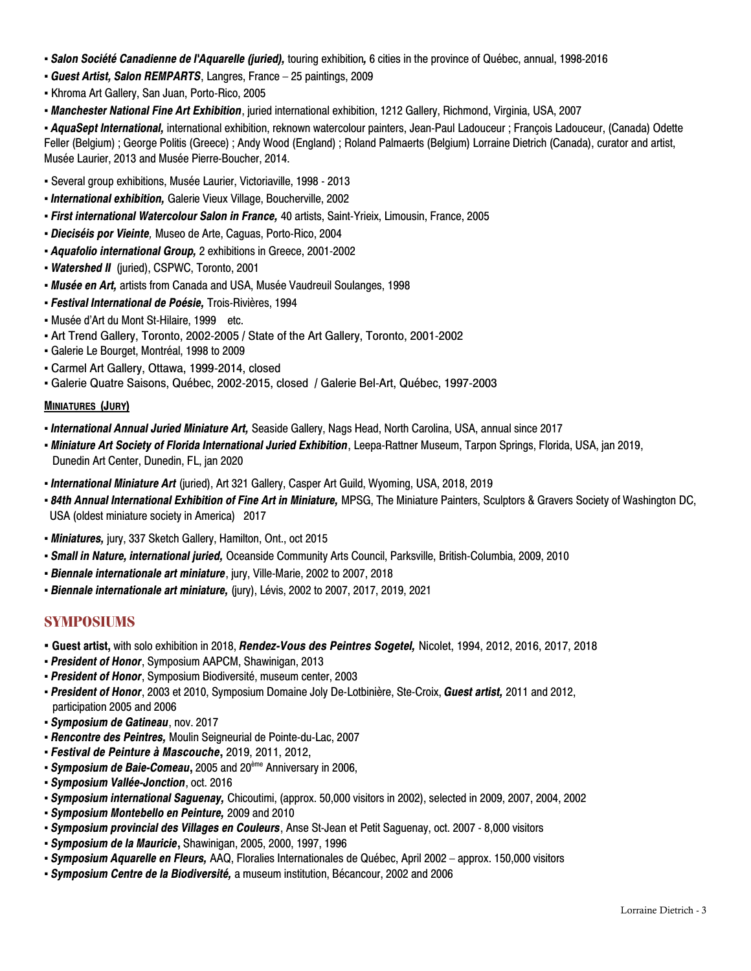- *Salon Société Canadienne de l'Aquarelle (juried),* touring exhibition*,* 6 cities in the province of Québec, annual, 1998-2016
- *Guest Artist, Salon REMPARTS*, Langres, France 25 paintings, 2009
- Khroma Art Gallery, San Juan, Porto-Rico, 2005
- *Manchester National Fine Art Exhibition*, juried international exhibition, 1212 Gallery, Richmond, Virginia, USA, 2007

▪ *AquaSept International,* international exhibition, reknown watercolour painters, Jean-Paul Ladouceur ; François Ladouceur, (Canada) Odette Feller (Belgium) ; George Politis (Greece) ; Andy Wood (England) ; Roland Palmaerts (Belgium) Lorraine Dietrich (Canada), curator and artist, Musée Laurier, 2013 and Musée Pierre-Boucher, 2014.

- Several group exhibitions, Musée Laurier, Victoriaville, 1998 2013
- *International exhibition,* Galerie Vieux Village, Boucherville, 2002
- *First international Watercolour Salon in France,* 40 artists, Saint-Yrieix, Limousin, France, 2005
- *Dieciséis por Vieinte,* Museo de Arte, Caguas, Porto-Rico, 2004
- *Aquafolio international Group,* 2 exhibitions in Greece, 2001-2002
- *Watershed II* (juried), CSPWC, Toronto, 2001
- *Musée en Art,* artists from Canada and USA, Musée Vaudreuil Soulanges, 1998
- *Festival International de Poésie,* Trois-Rivières, 1994
- Musée d'Art du Mont St-Hilaire, 1999 etc.
- Art Trend Gallery, Toronto, 2002-2005 / State of the Art Gallery, Toronto, 2001-2002
- Galerie Le Bourget, Montréal, 1998 to 2009
- Carmel Art Gallery, Ottawa, 1999-2014, closed
- Galerie Quatre Saisons, Québec, 2002-2015, closed / Galerie Bel-Art, Québec, 1997-2003

#### **MINIATURES (JURY)**

- *International Annual Juried Miniature Art,* Seaside Gallery, Nags Head, North Carolina, USA, annual since 2017
- *Miniature Art Society of Florida International Juried Exhibition*, Leepa-Rattner Museum, Tarpon Springs, Florida, USA, jan 2019, Dunedin Art Center, Dunedin, FL, jan 2020
- *International Miniature Art* (juried), Art 321 Gallery, Casper Art Guild, Wyoming, USA, 2018, 2019
- *84th Annual International Exhibition of Fine Art in Miniature,* MPSG, The Miniature Painters, Sculptors & Gravers Society of Washington DC, USA (oldest miniature society in America) 2017
- *▪ Miniatures,* jury, 337 Sketch Gallery, Hamilton, Ont., oct 2015
- *▪ Small in Nature, international juried,* Oceanside Community Arts Council, Parksville, British-Columbia, 2009, 2010
- *Biennale internationale art miniature*, jury, Ville-Marie, 2002 to 2007, 2018
- *Biennale internationale art miniature,* (jury), Lévis, 2002 to 2007, 2017, 2019, 2021

## **SYMPOSIUMS**

- **▪ Guest artist,** with solo exhibition in 2018, *Rendez-Vous des Peintres Sogetel,* Nicolet, 1994, 2012, 2016, 2017, 2018
- *President of Honor*, Symposium AAPCM, Shawinigan, 2013
- *President of Honor*, Symposium Biodiversité, museum center, 2003
- *President of Honor*, 2003 et 2010, Symposium Domaine Joly De-Lotbinière, Ste-Croix, *Guest artist,* 2011 and 2012, participation 2005 and 2006
- *Symposium de Gatineau*, nov. 2017
- *Rencontre des Peintres,* Moulin Seigneurial de Pointe-du-Lac, 2007
- *Festival de Peinture à Mascouche***,** 2019, 2011, 2012,
- *Symposium de Baie-Comeau***,** 2005 and 20ème Anniversary in 2006,
- *Symposium Vallée-Jonction*, oct. 2016
- *Symposium international Saguenay,* Chicoutimi, (approx. 50,000 visitors in 2002), selected in 2009, 2007, 2004, 2002
- *Symposium Montebello en Peinture,* 2009 and 2010
- *Symposium provincial des Villages en Couleurs*, Anse St-Jean et Petit Saguenay, oct. 2007 8,000 visitors
- *Symposium de la Mauricie***,** Shawinigan, 2005, 2000, 1997, 1996
- *Symposium Aquarelle en Fleurs,* AAQ, Floralies Internationales de Québec, April 2002 approx. 150,000 visitors
- *Symposium Centre de la Biodiversité,* a museum institution, Bécancour, 2002 and 2006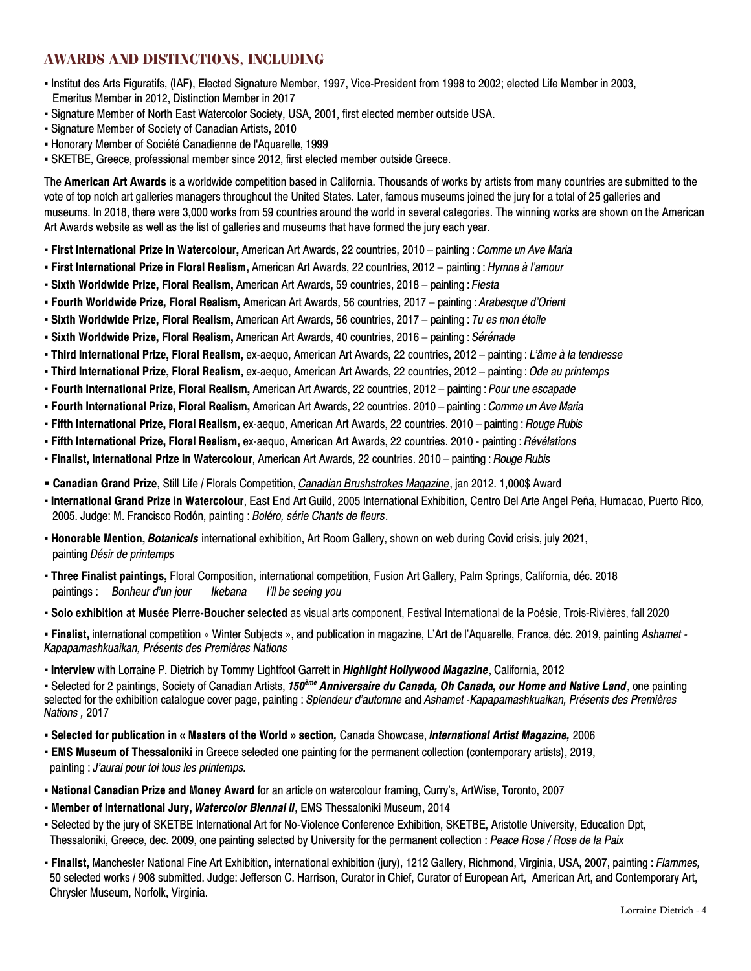## **AWARDS AND DISTINCTIONS, INCLUDING**

- Institut des Arts Figuratifs, (IAF), Elected Signature Member, 1997, Vice-President from 1998 to 2002; elected Life Member in 2003, Emeritus Member in 2012, Distinction Member in 2017
- Signature Member of North East Watercolor Society, USA, 2001, first elected member outside USA.
- Signature Member of Society of Canadian Artists, 2010
- Honorary Member of Société Canadienne de l'Aquarelle, 1999
- SKETBE, Greece, professional member since 2012, first elected member outside Greece.

The **American Art Awards** is a worldwide competition based in California. Thousands of works by artists from many countries are submitted to the vote of top notch art galleries managers throughout the United States. Later, famous museums joined the jury for a total of 25 galleries and museums. In 2018, there were 3,000 works from 59 countries around the world in several categories. The winning works are shown on the American Art Awards website as well as the list of galleries and museums that have formed the jury each year.

- **First International Prize in Watercolour,** American Art Awards, 22 countries, 2010 painting : *Comme un Ave Maria*
- **First International Prize in Floral Realism,** American Art Awards, 22 countries, 2012 painting : *Hymne à l'amour*
- **Sixth Worldwide Prize, Floral Realism,** American Art Awards, 59 countries, 2018 painting : *Fiesta*
- **Fourth Worldwide Prize, Floral Realism,** American Art Awards, 56 countries, 2017 painting : *Arabesque d'Orient*
- **Sixth Worldwide Prize, Floral Realism,** American Art Awards, 56 countries, 2017 painting : *Tu es mon étoile*
- **Sixth Worldwide Prize, Floral Realism,** American Art Awards, 40 countries, 2016 painting : *Sérénade*
- **Third International Prize, Floral Realism,** ex-aequo, American Art Awards, 22 countries, 2012 painting : *L'âme à la tendresse*
- **Third International Prize, Floral Realism,** ex-aequo, American Art Awards, 22 countries, 2012 painting : *Ode au printemps*
- **Fourth International Prize, Floral Realism,** American Art Awards, 22 countries, 2012 painting : *Pour une escapade*
- **Fourth International Prize, Floral Realism,** American Art Awards, 22 countries. 2010 painting : *Comme un Ave Maria*
- **▪ Fifth International Prize, Floral Realism,** ex-aequo, American Art Awards, 22 countries. 2010 painting : *Rouge Rubis*
- **Fifth International Prize, Floral Realism,** ex-aequo, American Art Awards, 22 countries. 2010 painting : *Révélations*
- **Finalist, International Prize in Watercolour**, American Art Awards, 22 countries. 2010 painting : *Rouge Rubis*
- **Canadian Grand Prize**, Still Life / Florals Competition, *Canadian Brushstrokes Magazine*, jan 2012. 1,000\$ Award
- **International Grand Prize in Watercolour**, East End Art Guild, 2005 International Exhibition, Centro Del Arte Angel Peña, Humacao, Puerto Rico, 2005. Judge: M. Francisco Rodón, painting : *Boléro, série Chants de fleurs*.
- **Honorable Mention,** *Botanicals* international exhibition, Art Room Gallery, shown on web during Covid crisis, july 2021, painting *Désir de printemps*
- **Three Finalist paintings,** Floral Composition, international competition, Fusion Art Gallery, Palm Springs, California, déc. 2018 paintings : *Bonheur d'un jour Ikebana I'll be seeing you*
- **Solo exhibition at Musée Pierre-Boucher selected** as visual arts component, Festival International de la Poésie, Trois-Rivières, fall 2020

▪ **Finalist,** international competition « Winter Subjects », and publication in magazine, L'Art de l'Aquarelle, France, déc. 2019, painting *Ashamet - Kapapamashkuaikan, Présents des Premières Nations*

▪ **Interview** with Lorraine P. Dietrich by Tommy Lightfoot Garrett in *Highlight Hollywood Magazine*, California, 2012

▪ Selected for 2 paintings, Society of Canadian Artists, *150ème Anniversaire du Canada, Oh Canada, our Home and Native Land*, one painting selected for the exhibition catalogue cover page, painting : *Splendeur d'automne* and *Ashamet -Kapapamashkuaikan, Présents des Premières Nations ,* 2017

- **Selected for publication in « Masters of the World » section***,* Canada Showcase, *International Artist Magazine,* 2006
- **EMS Museum of Thessaloniki** in Greece selected one painting for the permanent collection (contemporary artists), 2019, painting : *J'aurai pour toi tous les printemps.*
- **National Canadian Prize and Money Award** for an article on watercolour framing, Curry's, ArtWise, Toronto, 2007
- **Member of International Jury,** *Watercolor Biennal II*, EMS Thessaloniki Museum, 2014
- Selected by the jury of SKETBE International Art for No-Violence Conference Exhibition, SKETBE, Aristotle University, Education Dpt, Thessaloniki, Greece, dec. 2009, one painting selected by University for the permanent collection : *Peace Rose / Rose de la Paix*
- **Finalist,** Manchester National Fine Art Exhibition, international exhibition (jury), 1212 Gallery, Richmond, Virginia, USA, 2007, painting : *Flammes,* 50 selected works / 908 submitted. Judge: Jefferson C. Harrison, Curator in Chief, Curator of European Art, American Art, and Contemporary Art, Chrysler Museum, Norfolk, Virginia.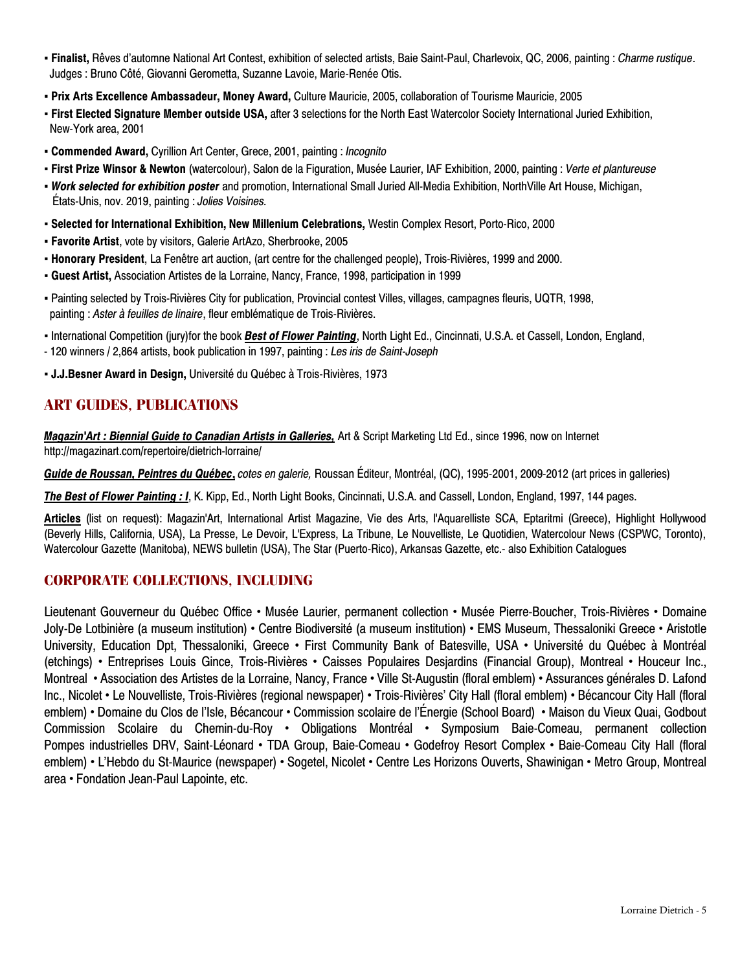- **Finalist,** Rêves d'automne National Art Contest, exhibition of selected artists, Baie Saint-Paul, Charlevoix, QC, 2006, painting : *Charme rustique*. Judges : Bruno Côté, Giovanni Gerometta, Suzanne Lavoie, Marie-Renée Otis.
- **Prix Arts Excellence Ambassadeur, Money Award,** Culture Mauricie, 2005, collaboration of Tourisme Mauricie, 2005
- **First Elected Signature Member outside USA,** after 3 selections for the North East Watercolor Society International Juried Exhibition, New-York area, 2001
- **Commended Award,** Cyrillion Art Center, Grece, 2001, painting : *Incognito*
- **First Prize Winsor & Newton** (watercolour), Salon de la Figuration, Musée Laurier, IAF Exhibition, 2000, painting : *Verte et plantureuse*
- *Work selected for exhibition poster* and promotion, International Small Juried All-Media Exhibition, NorthVille Art House, Michigan, États-Unis, nov. 2019, painting : *Jolies Voisines.*
- **Selected for International Exhibition, New Millenium Celebrations,** Westin Complex Resort, Porto-Rico, 2000
- **Favorite Artist**, vote by visitors, Galerie ArtAzo, Sherbrooke, 2005
- **Honorary President**, La Fenêtre art auction, (art centre for the challenged people), Trois-Rivières, 1999 and 2000.
- **Guest Artist,** Association Artistes de la Lorraine, Nancy, France, 1998, participation in 1999
- Painting selected by Trois-Rivières City for publication, Provincial contest Villes, villages, campagnes fleuris, UQTR, 1998, painting : *Aster à feuilles de linaire*, fleur emblématique de Trois-Rivières.
- International Competition (jury)for the book *Best of Flower Painting*, North Light Ed., Cincinnati, U.S.A. et Cassell, London, England,
- 120 winners / 2,864 artists, book publication in 1997, painting : *Les iris de Saint-Joseph*
- **J.J.Besner Award in Design,** Université du Québec à Trois-Rivières, 1973

# **ART GUIDES, PUBLICATIONS**

*Magazin'Art : Biennial Guide to Canadian Artists in Galleries,* Art & Script Marketing Ltd Ed., since 1996, now on Internet http://magazinart.com/repertoire/dietrich-lorraine/

*Guide de Roussan, Peintres du Québec***,** *cotes en galerie,* Roussan Éditeur, Montréal, (QC), 1995-2001, 2009-2012 (art prices in galleries)

*The Best of Flower Painting : I*, K. Kipp, Ed., North Light Books, Cincinnati, U.S.A. and Cassell, London, England, 1997, 144 pages.

**Articles** (list on request): Magazin'Art, International Artist Magazine, Vie des Arts, l'Aquarelliste SCA, Eptaritmi (Greece), Highlight Hollywood (Beverly Hills, California, USA), La Presse, Le Devoir, L'Express, La Tribune, Le Nouvelliste, Le Quotidien, Watercolour News (CSPWC, Toronto), Watercolour Gazette (Manitoba), NEWS bulletin (USA), The Star (Puerto-Rico), Arkansas Gazette, etc.- also Exhibition Catalogues

## **CORPORATE COLLECTIONS, INCLUDING**

Lieutenant Gouverneur du Québec Office • Musée Laurier, permanent collection • Musée Pierre-Boucher, Trois-Rivières • Domaine Joly-De Lotbinière (a museum institution) • Centre Biodiversité (a museum institution) • EMS Museum, Thessaloniki Greece • Aristotle University, Education Dpt, Thessaloniki, Greece • First Community Bank of Batesville, USA • Université du Québec à Montréal (etchings) • Entreprises Louis Gince, Trois-Rivières • Caisses Populaires Desjardins (Financial Group), Montreal • Houceur Inc., Montreal • Association des Artistes de la Lorraine, Nancy, France • Ville St-Augustin (floral emblem) • Assurances générales D. Lafond Inc., Nicolet • Le Nouvelliste, Trois-Rivières (regional newspaper) • Trois-Rivières' City Hall (floral emblem) • Bécancour City Hall (floral emblem) • Domaine du Clos de l'Isle, Bécancour • Commission scolaire de l'Énergie (School Board) • Maison du Vieux Quai, Godbout Commission Scolaire du Chemin-du-Roy • Obligations Montréal • Symposium Baie-Comeau, permanent collection Pompes industrielles DRV, Saint-Léonard • TDA Group, Baie-Comeau • Godefroy Resort Complex • Baie-Comeau City Hall (floral emblem) • L'Hebdo du St-Maurice (newspaper) • Sogetel, Nicolet • Centre Les Horizons Ouverts, Shawinigan • Metro Group, Montreal area • Fondation Jean-Paul Lapointe, etc.